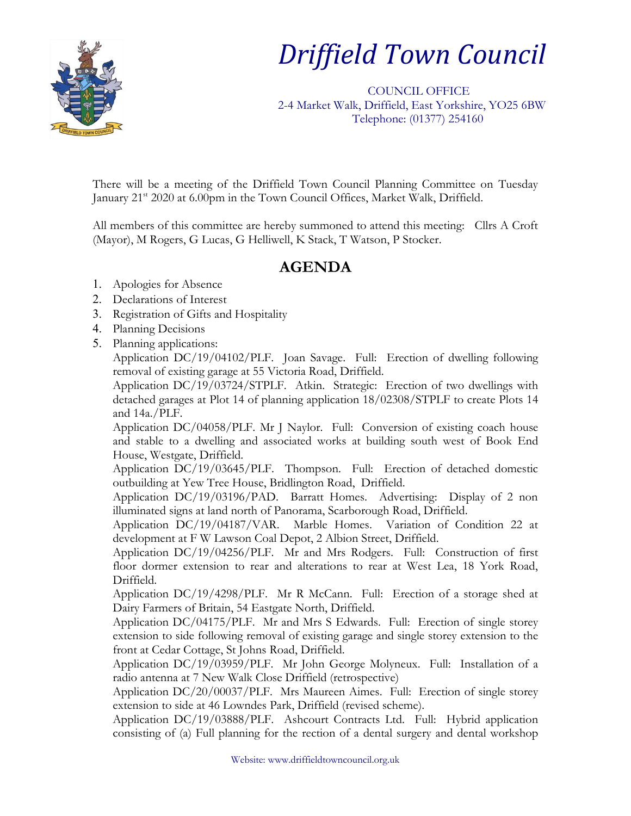

## *Driffield Town Council*

 COUNCIL OFFICE 2-4 Market Walk, Driffield, East Yorkshire, YO25 6BW Telephone: (01377) 254160

There will be a meeting of the Driffield Town Council Planning Committee on Tuesday January 21<sup>st</sup> 2020 at 6.00pm in the Town Council Offices, Market Walk, Driffield.

All members of this committee are hereby summoned to attend this meeting: Cllrs A Croft (Mayor), M Rogers, G Lucas, G Helliwell, K Stack, T Watson, P Stocker.

## **AGENDA**

- 1. Apologies for Absence
- 2. Declarations of Interest
- 3. Registration of Gifts and Hospitality
- 4. Planning Decisions
- 5. Planning applications:

Application DC/19/04102/PLF. Joan Savage. Full: Erection of dwelling following removal of existing garage at 55 Victoria Road, Driffield.

Application DC/19/03724/STPLF. Atkin. Strategic: Erection of two dwellings with detached garages at Plot 14 of planning application 18/02308/STPLF to create Plots 14 and 14a./PLF.

Application DC/04058/PLF. Mr J Naylor. Full: Conversion of existing coach house and stable to a dwelling and associated works at building south west of Book End House, Westgate, Driffield.

Application DC/19/03645/PLF. Thompson. Full: Erection of detached domestic outbuilding at Yew Tree House, Bridlington Road, Driffield.

Application DC/19/03196/PAD. Barratt Homes. Advertising: Display of 2 non illuminated signs at land north of Panorama, Scarborough Road, Driffield.

Application DC/19/04187/VAR. Marble Homes. Variation of Condition 22 at development at F W Lawson Coal Depot, 2 Albion Street, Driffield.

Application DC/19/04256/PLF. Mr and Mrs Rodgers. Full: Construction of first floor dormer extension to rear and alterations to rear at West Lea, 18 York Road, Driffield.

Application DC/19/4298/PLF. Mr R McCann. Full: Erection of a storage shed at Dairy Farmers of Britain, 54 Eastgate North, Driffield.

Application DC/04175/PLF. Mr and Mrs S Edwards. Full: Erection of single storey extension to side following removal of existing garage and single storey extension to the front at Cedar Cottage, St Johns Road, Driffield.

Application DC/19/03959/PLF. Mr John George Molyneux. Full: Installation of a radio antenna at 7 New Walk Close Driffield (retrospective)

Application DC/20/00037/PLF. Mrs Maureen Aimes. Full: Erection of single storey extension to side at 46 Lowndes Park, Driffield (revised scheme).

Application DC/19/03888/PLF. Ashcourt Contracts Ltd. Full: Hybrid application consisting of (a) Full planning for the rection of a dental surgery and dental workshop